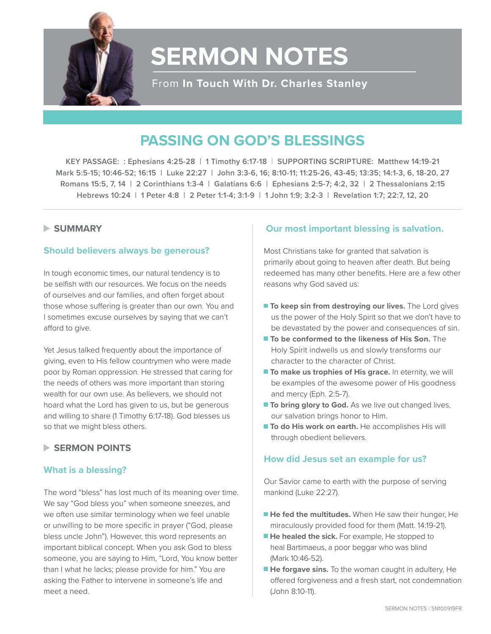

# **SERMON NOTES**

From In Touch With Dr. Charles Stanley

# **PASSING ON GOD'S BLESSINGS**

**KEY PASSAGE: : Ephesians 4:25-28 | 1 Timothy 6:17-18** | **SUPPORTING SCRIPTURE: Matthew 14:19-21 Mark 5:5-15; 10:46-52; 16:15 | Luke 22:27 | John 3:3-6, 16; 8:10-11; 11:25-26, 43-45; 13:35; 14:1-3, 6, 18-20, 27 Romans 15:5, 7, 14 | 2 Corinthians 1:3-4 | Galatians 6:6 | Ephesians 2:5-7; 4:2, 32 | 2 Thessalonians 2:15 Hebrews 10:24 | 1 Peter 4:8 | 2 Peter 1:1-4; 3:1-9 | 1 John 1:9; 3:2-3 | Revelation 1:7; 22:7, 12, 20**

### **SUMMARY**

# **Should believers always be generous?**

In tough economic times, our natural tendency is to be selfish with our resources. We focus on the needs of ourselves and our families, and often forget about those whose suffering is greater than our own. You and I sometimes excuse ourselves by saying that we can't afford to give.

Yet Jesus talked frequently about the importance of giving, even to His fellow countrymen who were made poor by Roman oppression. He stressed that caring for the needs of others was more important than storing wealth for our own use. As believers, we should not hoard what the Lord has given to us, but be generous and willing to share (1 Timothy 6:17-18). God blesses us so that we might bless others.

### **SERMON POINTS**

### **What is a blessing?**

The word "bless" has lost much of its meaning over time. We say "God bless you" when someone sneezes, and we often use similar terminology when we feel unable or unwilling to be more specific in prayer ("God, please bless uncle John"). However, this word represents an important biblical concept. When you ask God to bless someone, you are saying to Him, "Lord, You know better than I what he lacks; please provide for him." You are asking the Father to intervene in someone's life and meet a need.

# **Our most important blessing is salvation.**

Most Christians take for granted that salvation is primarily about going to heaven after death. But being redeemed has many other benefits. Here are a few other reasons why God saved us:

- **To keep sin from destroying our lives.** The Lord gives us the power of the Holy Spirit so that we don't have to be devastated by the power and consequences of sin.
- **To be conformed to the likeness of His Son.** The Holy Spirit indwells us and slowly transforms our character to the character of Christ.
- **To make us trophies of His grace.** In eternity, we will be examples of the awesome power of His goodness and mercy (Eph. 2:5-7).
- **To bring glory to God.** As we live out changed lives, our salvation brings honor to Him.
- **To do His work on earth.** He accomplishes His will through obedient believers.

### **How did Jesus set an example for us?**

Our Savior came to earth with the purpose of serving mankind (Luke 22:27).

- **He fed the multitudes.** When He saw their hunger, He miraculously provided food for them (Matt. 14:19-21).
- **He healed the sick.** For example, He stopped to heal Bartimaeus, a poor beggar who was blind (Mark 10:46-52).
- **He forgave sins.** To the woman caught in adultery, He offered forgiveness and a fresh start, not condemnation (John 8:10-11).